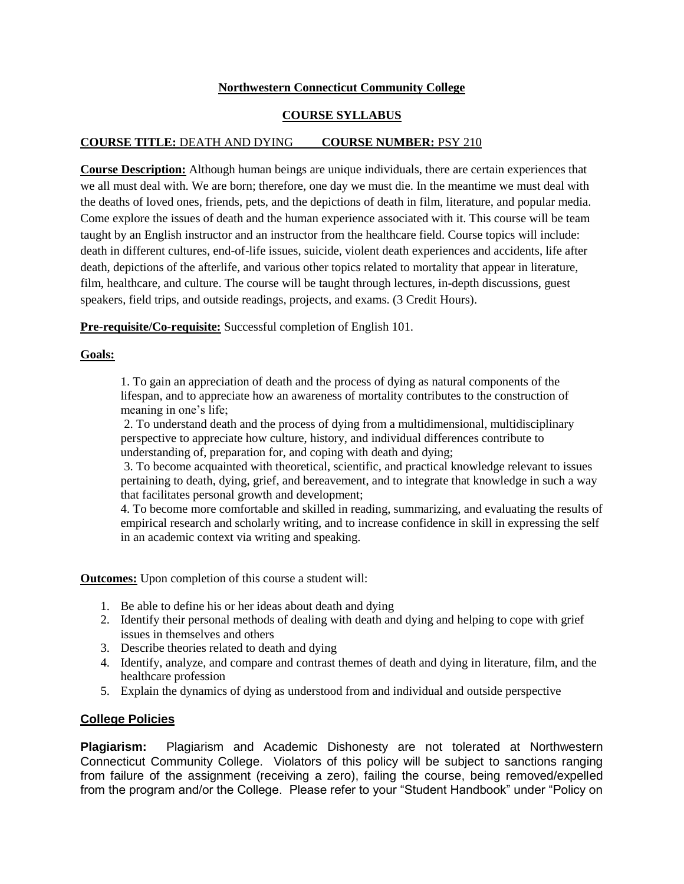# **Northwestern Connecticut Community College**

### **COURSE SYLLABUS**

# **COURSE TITLE:** DEATH AND DYING **COURSE NUMBER:** PSY 210

**Course Description:** Although human beings are unique individuals, there are certain experiences that we all must deal with. We are born; therefore, one day we must die. In the meantime we must deal with the deaths of loved ones, friends, pets, and the depictions of death in film, literature, and popular media. Come explore the issues of death and the human experience associated with it. This course will be team taught by an English instructor and an instructor from the healthcare field. Course topics will include: death in different cultures, end-of-life issues, suicide, violent death experiences and accidents, life after death, depictions of the afterlife, and various other topics related to mortality that appear in literature, film, healthcare, and culture. The course will be taught through lectures, in-depth discussions, guest speakers, field trips, and outside readings, projects, and exams. (3 Credit Hours).

**Pre-requisite/Co-requisite:** Successful completion of English 101.

# **Goals:**

1. To gain an appreciation of death and the process of dying as natural components of the lifespan, and to appreciate how an awareness of mortality contributes to the construction of meaning in one's life;

2. To understand death and the process of dying from a multidimensional, multidisciplinary perspective to appreciate how culture, history, and individual differences contribute to understanding of, preparation for, and coping with death and dying;

3. To become acquainted with theoretical, scientific, and practical knowledge relevant to issues pertaining to death, dying, grief, and bereavement, and to integrate that knowledge in such a way that facilitates personal growth and development;

4. To become more comfortable and skilled in reading, summarizing, and evaluating the results of empirical research and scholarly writing, and to increase confidence in skill in expressing the self in an academic context via writing and speaking.

**Outcomes:** Upon completion of this course a student will:

- 1. Be able to define his or her ideas about death and dying
- 2. Identify their personal methods of dealing with death and dying and helping to cope with grief issues in themselves and others
- 3. Describe theories related to death and dying
- 4. Identify, analyze, and compare and contrast themes of death and dying in literature, film, and the healthcare profession
- 5. Explain the dynamics of dying as understood from and individual and outside perspective

#### **College Policies**

**Plagiarism:** Plagiarism and Academic Dishonesty are not tolerated at Northwestern Connecticut Community College. Violators of this policy will be subject to sanctions ranging from failure of the assignment (receiving a zero), failing the course, being removed/expelled from the program and/or the College. Please refer to your "Student Handbook" under "Policy on